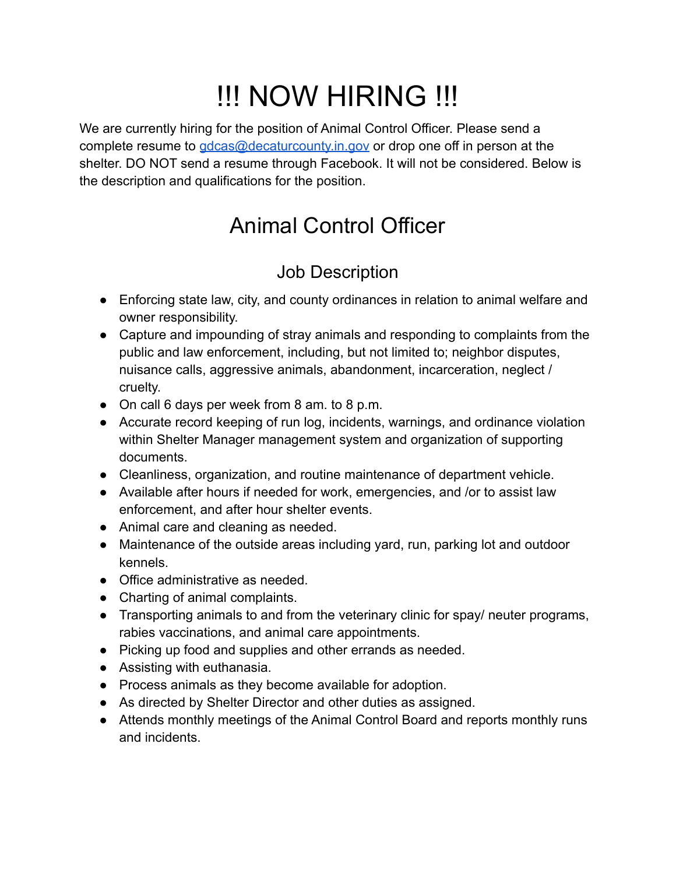# !!! NOW HIRING !!!

We are currently hiring for the position of Animal Control Officer. Please send a complete resume to [gdcas@decaturcounty.in.gov](mailto:gdcas@decaturcounty.in.gov) or drop one off in person at the shelter. DO NOT send a resume through Facebook. It will not be considered. Below is the description and qualifications for the position.

# Animal Control Officer

## Job Description

- Enforcing state law, city, and county ordinances in relation to animal welfare and owner responsibility.
- Capture and impounding of stray animals and responding to complaints from the public and law enforcement, including, but not limited to; neighbor disputes, nuisance calls, aggressive animals, abandonment, incarceration, neglect / cruelty.
- On call 6 days per week from 8 am. to 8 p.m.
- Accurate record keeping of run log, incidents, warnings, and ordinance violation within Shelter Manager management system and organization of supporting documents.
- Cleanliness, organization, and routine maintenance of department vehicle.
- Available after hours if needed for work, emergencies, and /or to assist law enforcement, and after hour shelter events.
- Animal care and cleaning as needed.
- Maintenance of the outside areas including yard, run, parking lot and outdoor kennels.
- Office administrative as needed.
- Charting of animal complaints.
- Transporting animals to and from the veterinary clinic for spay/ neuter programs, rabies vaccinations, and animal care appointments.
- Picking up food and supplies and other errands as needed.
- Assisting with euthanasia.
- Process animals as they become available for adoption.
- As directed by Shelter Director and other duties as assigned.
- Attends monthly meetings of the Animal Control Board and reports monthly runs and incidents.